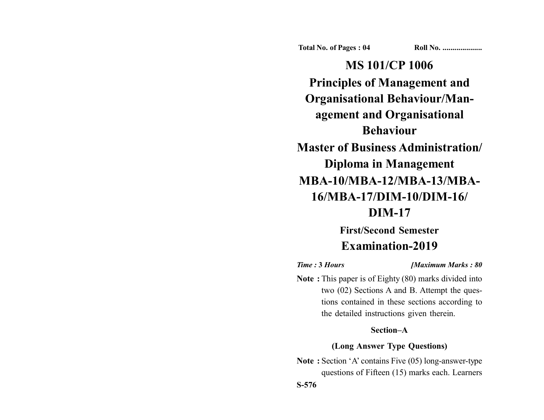**Total No. of Pages : 04 Roll No. ...................** 

**MS 101/CP 1006 Principles of Management and Organisational Behaviour/Management and Organisational Behaviour Master of Business Administration/ Diploma in Management MBA-10/MBA-12/MBA-13/MBA-16/MBA-17/DIM-10/DIM-16/ DIM-17**

# **First/Second Semester Examination-2019**

*Time :* **3** *Hours [Maximum Marks : 80*

**Note :** This paper is of Eighty (80) marks divided into two (02) Sections A and B. Attempt the questions contained in these sections according to the detailed instructions given therein.

#### **Section–A**

# **(Long Answer Type Questions)**

**Note :** Section 'A' contains Five (05) long-answer-type questions of Fifteen (15) marks each. Learners